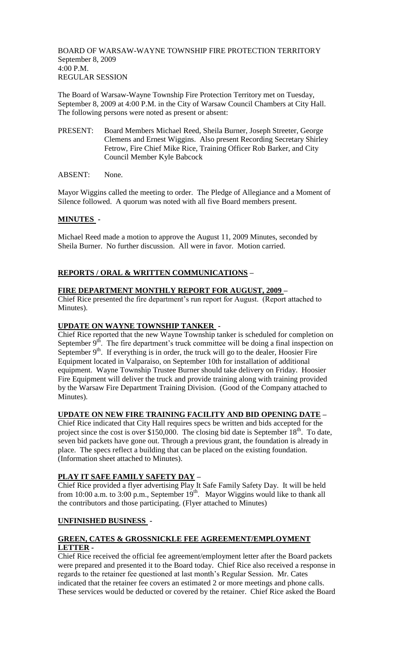BOARD OF WARSAW-WAYNE TOWNSHIP FIRE PROTECTION TERRITORY September 8, 2009  $4:00 P.M.$ REGULAR SESSION

The Board of Warsaw-Wayne Township Fire Protection Territory met on Tuesday, September 8, 2009 at 4:00 P.M. in the City of Warsaw Council Chambers at City Hall. The following persons were noted as present or absent:

- PRESENT: Board Members Michael Reed, Sheila Burner, Joseph Streeter, George Clemens and Ernest Wiggins. Also present Recording Secretary Shirley Fetrow, Fire Chief Mike Rice, Training Officer Rob Barker, and City Council Member Kyle Babcock
- ABSENT: None.

Mayor Wiggins called the meeting to order. The Pledge of Allegiance and a Moment of Silence followed. A quorum was noted with all five Board members present.

## **MINUTES -**

Michael Reed made a motion to approve the August 11, 2009 Minutes, seconded by Sheila Burner. No further discussion. All were in favor. Motion carried.

## **REPORTS / ORAL & WRITTEN COMMUNICATIONS –**

## **FIRE DEPARTMENT MONTHLY REPORT FOR AUGUST, 2009 –**

Chief Rice presented the fire department's run report for August. (Report attached to Minutes).

### **UPDATE ON WAYNE TOWNSHIP TANKER -**

Chief Rice reported that the new Wayne Township tanker is scheduled for completion on September  $9<sup>th</sup>$ . The fire department's truck committee will be doing a final inspection on September  $9<sup>th</sup>$ . If everything is in order, the truck will go to the dealer, Hoosier Fire Equipment located in Valparaiso, on September 10th for installation of additional equipment. Wayne Township Trustee Burner should take delivery on Friday. Hoosier Fire Equipment will deliver the truck and provide training along with training provided by the Warsaw Fire Department Training Division. (Good of the Company attached to Minutes).

### **UPDATE ON NEW FIRE TRAINING FACILITY AND BID OPENING DATE –**

Chief Rice indicated that City Hall requires specs be written and bids accepted for the project since the cost is over \$150,000. The closing bid date is September 18<sup>th</sup>. To date, seven bid packets have gone out. Through a previous grant, the foundation is already in place. The specs reflect a building that can be placed on the existing foundation. (Information sheet attached to Minutes).

### **PLAY IT SAFE FAMILY SAFETY DAY –**

Chief Rice provided a flyer advertising Play It Safe Family Safety Day. It will be held from 10:00 a.m. to 3:00 p.m., September  $19<sup>th</sup>$ . Mayor Wiggins would like to thank all the contributors and those participating. (Flyer attached to Minutes)

### **UNFINISHED BUSINESS -**

## **GREEN, CATES & GROSSNICKLE FEE AGREEMENT/EMPLOYMENT LETTER -**

Chief Rice received the official fee agreement/employment letter after the Board packets were prepared and presented it to the Board today. Chief Rice also received a response in regards to the retainer fee questioned at last month's Regular Session. Mr. Cates indicated that the retainer fee covers an estimated 2 or more meetings and phone calls. These services would be deducted or covered by the retainer. Chief Rice asked the Board